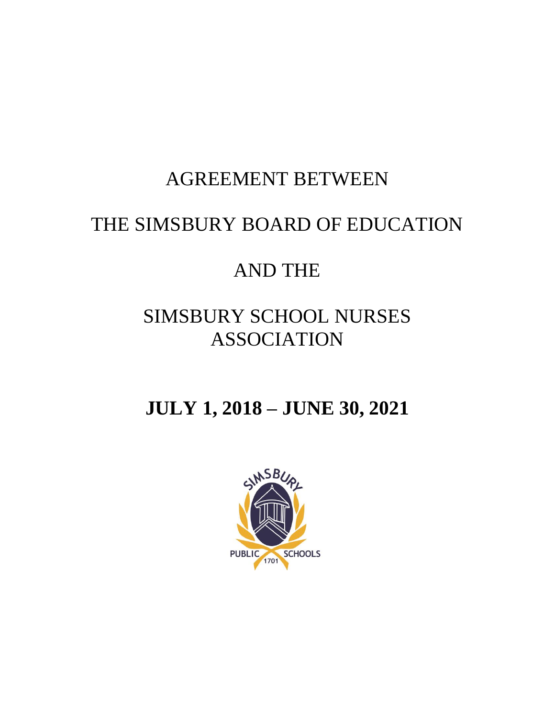# AGREEMENT BETWEEN

# THE SIMSBURY BOARD OF EDUCATION

# AND THE

# SIMSBURY SCHOOL NURSES ASSOCIATION

# **JULY 1, 2018 – JUNE 30, 2021**

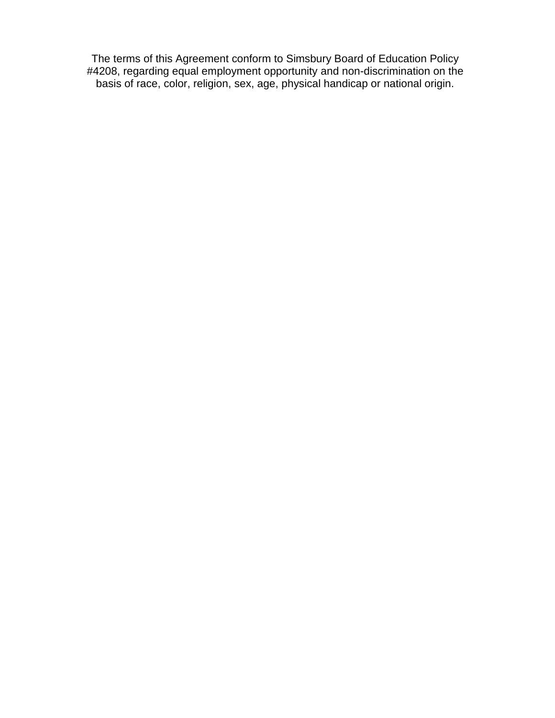The terms of this Agreement conform to Simsbury Board of Education Policy #4208, regarding equal employment opportunity and non-discrimination on the basis of race, color, religion, sex, age, physical handicap or national origin.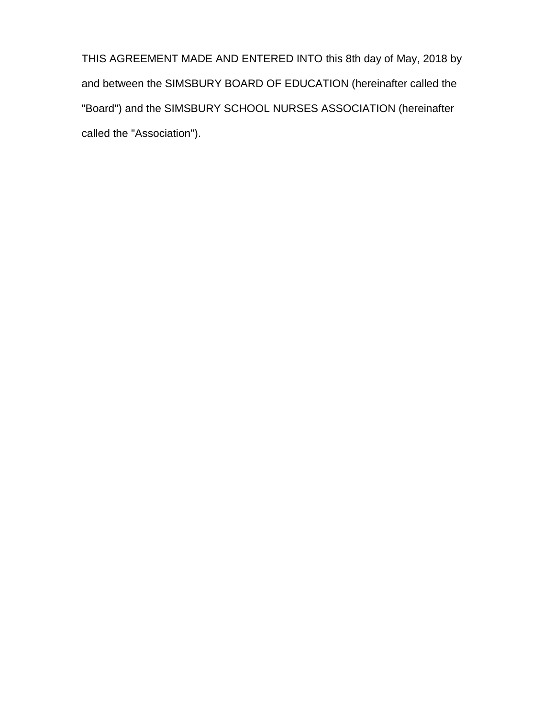THIS AGREEMENT MADE AND ENTERED INTO this 8th day of May, 2018 by and between the SIMSBURY BOARD OF EDUCATION (hereinafter called the "Board") and the SIMSBURY SCHOOL NURSES ASSOCIATION (hereinafter called the "Association").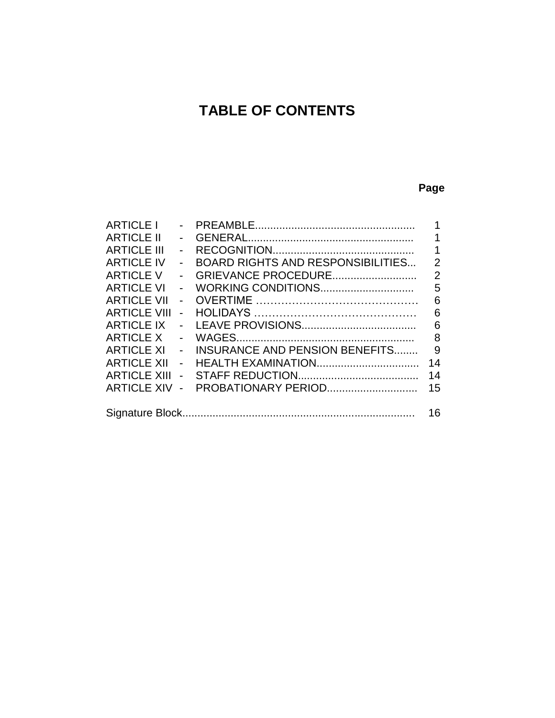# **TABLE OF CONTENTS**

# **Page**

| <b>ARTICLE I</b>    |                |                                          |                |
|---------------------|----------------|------------------------------------------|----------------|
| <b>ARTICLE II</b>   |                |                                          | 1              |
| <b>ARTICLE III</b>  |                |                                          | 1              |
| <b>ARTICLE IV</b>   | $\blacksquare$ | <b>BOARD RIGHTS AND RESPONSIBILITIES</b> | $\overline{2}$ |
| <b>ARTICLE V</b>    |                | GRIEVANCE PROCEDURE                      | $\overline{2}$ |
| <b>ARTICLE VI</b>   |                |                                          | 5              |
| <b>ARTICLE VII</b>  | $\blacksquare$ |                                          | 6              |
| <b>ARTICLE VIII</b> | $\overline{a}$ |                                          | 6              |
| <b>ARTICLE IX</b>   |                |                                          | 6              |
| <b>ARTICLE X</b>    |                |                                          | 8              |
| <b>ARTICLE XI</b>   | $\blacksquare$ | <b>INSURANCE AND PENSION BENEFITS</b>    | 9              |
| <b>ARTICLE XII</b>  | $\blacksquare$ |                                          | 14             |
| <b>ARTICLE XIII</b> | $\blacksquare$ |                                          | 14             |
| <b>ARTICLE XIV</b>  | $\overline{a}$ | PROBATIONARY PERIOD                      | 15             |
|                     |                |                                          |                |
|                     |                |                                          | 16             |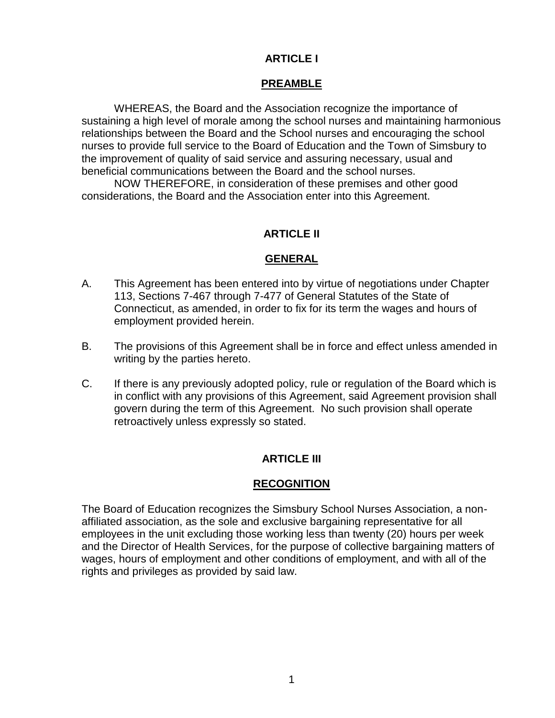# **ARTICLE I**

# **PREAMBLE**

WHEREAS, the Board and the Association recognize the importance of sustaining a high level of morale among the school nurses and maintaining harmonious relationships between the Board and the School nurses and encouraging the school nurses to provide full service to the Board of Education and the Town of Simsbury to the improvement of quality of said service and assuring necessary, usual and beneficial communications between the Board and the school nurses.

NOW THEREFORE, in consideration of these premises and other good considerations, the Board and the Association enter into this Agreement.

# **ARTICLE II**

# **GENERAL**

- A. This Agreement has been entered into by virtue of negotiations under Chapter 113, Sections 7-467 through 7-477 of General Statutes of the State of Connecticut, as amended, in order to fix for its term the wages and hours of employment provided herein.
- B. The provisions of this Agreement shall be in force and effect unless amended in writing by the parties hereto.
- C. If there is any previously adopted policy, rule or regulation of the Board which is in conflict with any provisions of this Agreement, said Agreement provision shall govern during the term of this Agreement. No such provision shall operate retroactively unless expressly so stated.

# **ARTICLE III**

# **RECOGNITION**

The Board of Education recognizes the Simsbury School Nurses Association, a nonaffiliated association, as the sole and exclusive bargaining representative for all employees in the unit excluding those working less than twenty (20) hours per week and the Director of Health Services, for the purpose of collective bargaining matters of wages, hours of employment and other conditions of employment, and with all of the rights and privileges as provided by said law.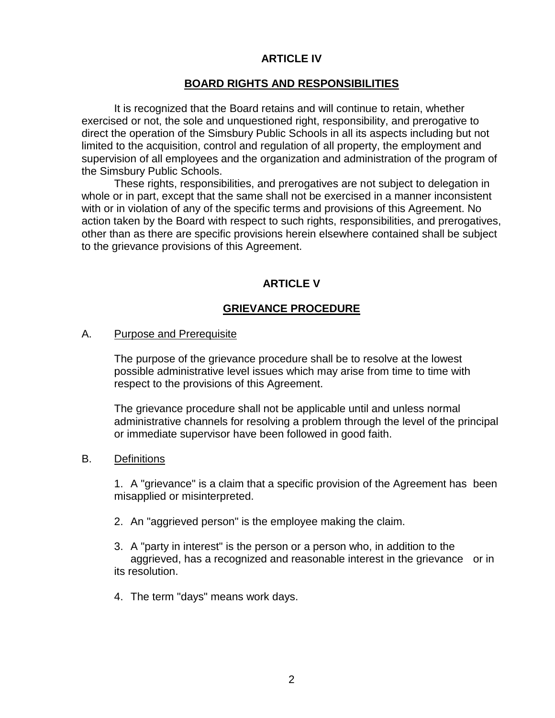## **ARTICLE IV**

## **BOARD RIGHTS AND RESPONSIBILITIES**

It is recognized that the Board retains and will continue to retain, whether exercised or not, the sole and unquestioned right, responsibility, and prerogative to direct the operation of the Simsbury Public Schools in all its aspects including but not limited to the acquisition, control and regulation of all property, the employment and supervision of all employees and the organization and administration of the program of the Simsbury Public Schools.

These rights, responsibilities, and prerogatives are not subject to delegation in whole or in part, except that the same shall not be exercised in a manner inconsistent with or in violation of any of the specific terms and provisions of this Agreement. No action taken by the Board with respect to such rights, responsibilities, and prerogatives, other than as there are specific provisions herein elsewhere contained shall be subject to the grievance provisions of this Agreement.

# **ARTICLE V**

## **GRIEVANCE PROCEDURE**

#### A. Purpose and Prerequisite

The purpose of the grievance procedure shall be to resolve at the lowest possible administrative level issues which may arise from time to time with respect to the provisions of this Agreement.

The grievance procedure shall not be applicable until and unless normal administrative channels for resolving a problem through the level of the principal or immediate supervisor have been followed in good faith.

#### B. Definitions

1. A "grievance" is a claim that a specific provision of the Agreement has been misapplied or misinterpreted.

- 2. An "aggrieved person" is the employee making the claim.
- 3. A "party in interest" is the person or a person who, in addition to the aggrieved, has a recognized and reasonable interest in the grievance or in its resolution.
- 4. The term "days" means work days.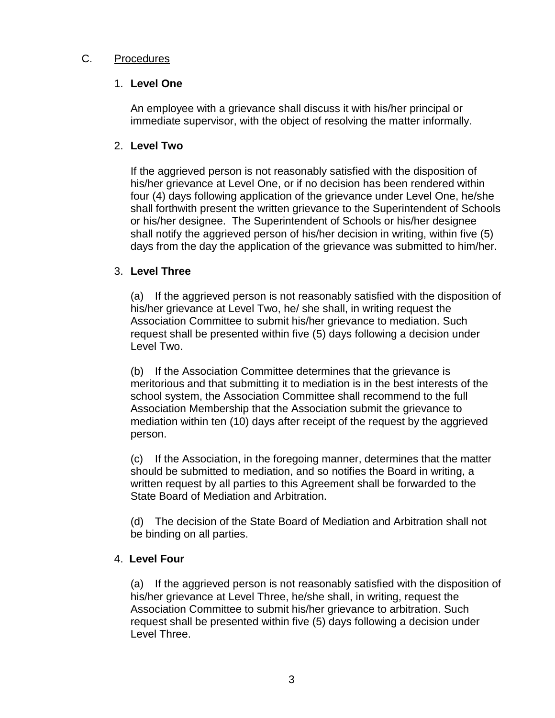# C. Procedures

# 1. **Level One**

An employee with a grievance shall discuss it with his/her principal or immediate supervisor, with the object of resolving the matter informally.

# 2. **Level Two**

If the aggrieved person is not reasonably satisfied with the disposition of his/her grievance at Level One, or if no decision has been rendered within four (4) days following application of the grievance under Level One, he/she shall forthwith present the written grievance to the Superintendent of Schools or his/her designee. The Superintendent of Schools or his/her designee shall notify the aggrieved person of his/her decision in writing, within five (5) days from the day the application of the grievance was submitted to him/her.

# 3. **Level Three**

(a) If the aggrieved person is not reasonably satisfied with the disposition of his/her grievance at Level Two, he/ she shall, in writing request the Association Committee to submit his/her grievance to mediation. Such request shall be presented within five (5) days following a decision under Level Two.

(b) If the Association Committee determines that the grievance is meritorious and that submitting it to mediation is in the best interests of the school system, the Association Committee shall recommend to the full Association Membership that the Association submit the grievance to mediation within ten (10) days after receipt of the request by the aggrieved person.

(c) If the Association, in the foregoing manner, determines that the matter should be submitted to mediation, and so notifies the Board in writing, a written request by all parties to this Agreement shall be forwarded to the State Board of Mediation and Arbitration.

(d) The decision of the State Board of Mediation and Arbitration shall not be binding on all parties.

# 4. **Level Four**

(a) If the aggrieved person is not reasonably satisfied with the disposition of his/her grievance at Level Three, he/she shall, in writing, request the Association Committee to submit his/her grievance to arbitration. Such request shall be presented within five (5) days following a decision under Level Three.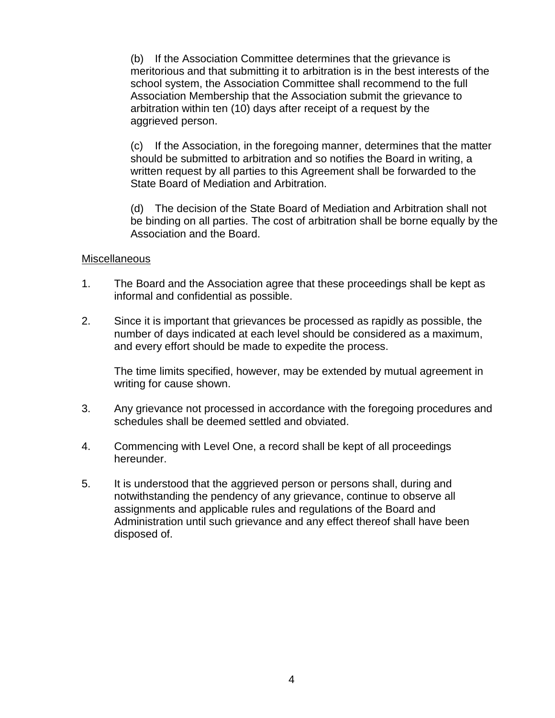(b) If the Association Committee determines that the grievance is meritorious and that submitting it to arbitration is in the best interests of the school system, the Association Committee shall recommend to the full Association Membership that the Association submit the grievance to arbitration within ten (10) days after receipt of a request by the aggrieved person.

(c) If the Association, in the foregoing manner, determines that the matter should be submitted to arbitration and so notifies the Board in writing, a written request by all parties to this Agreement shall be forwarded to the State Board of Mediation and Arbitration.

(d) The decision of the State Board of Mediation and Arbitration shall not be binding on all parties. The cost of arbitration shall be borne equally by the Association and the Board.

#### **Miscellaneous**

- 1. The Board and the Association agree that these proceedings shall be kept as informal and confidential as possible.
- 2. Since it is important that grievances be processed as rapidly as possible, the number of days indicated at each level should be considered as a maximum, and every effort should be made to expedite the process.

The time limits specified, however, may be extended by mutual agreement in writing for cause shown.

- 3. Any grievance not processed in accordance with the foregoing procedures and schedules shall be deemed settled and obviated.
- 4. Commencing with Level One, a record shall be kept of all proceedings hereunder.
- 5. It is understood that the aggrieved person or persons shall, during and notwithstanding the pendency of any grievance, continue to observe all assignments and applicable rules and regulations of the Board and Administration until such grievance and any effect thereof shall have been disposed of.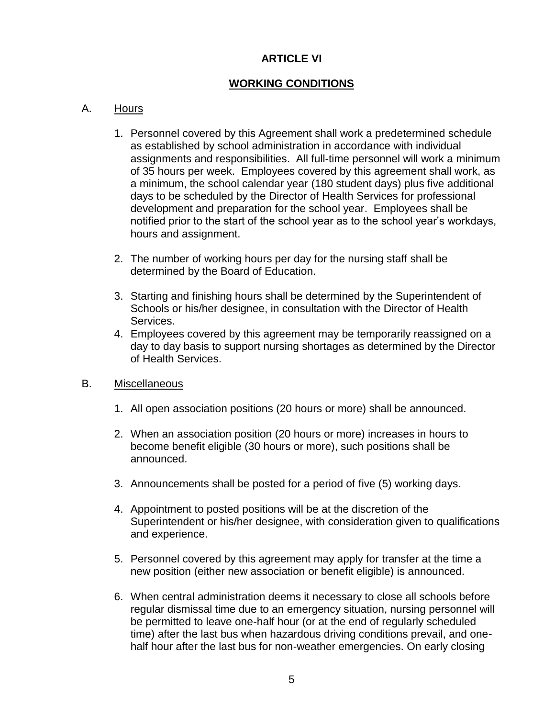# **ARTICLE VI**

# **WORKING CONDITIONS**

# A. Hours

- 1. Personnel covered by this Agreement shall work a predetermined schedule as established by school administration in accordance with individual assignments and responsibilities. All full-time personnel will work a minimum of 35 hours per week. Employees covered by this agreement shall work, as a minimum, the school calendar year (180 student days) plus five additional days to be scheduled by the Director of Health Services for professional development and preparation for the school year. Employees shall be notified prior to the start of the school year as to the school year's workdays, hours and assignment.
- 2. The number of working hours per day for the nursing staff shall be determined by the Board of Education.
- 3. Starting and finishing hours shall be determined by the Superintendent of Schools or his/her designee, in consultation with the Director of Health Services.
- 4. Employees covered by this agreement may be temporarily reassigned on a day to day basis to support nursing shortages as determined by the Director of Health Services.

## B. Miscellaneous

- 1. All open association positions (20 hours or more) shall be announced.
- 2. When an association position (20 hours or more) increases in hours to become benefit eligible (30 hours or more), such positions shall be announced.
- 3. Announcements shall be posted for a period of five (5) working days.
- 4. Appointment to posted positions will be at the discretion of the Superintendent or his/her designee, with consideration given to qualifications and experience.
- 5. Personnel covered by this agreement may apply for transfer at the time a new position (either new association or benefit eligible) is announced.
- 6. When central administration deems it necessary to close all schools before regular dismissal time due to an emergency situation, nursing personnel will be permitted to leave one-half hour (or at the end of regularly scheduled time) after the last bus when hazardous driving conditions prevail, and onehalf hour after the last bus for non-weather emergencies. On early closing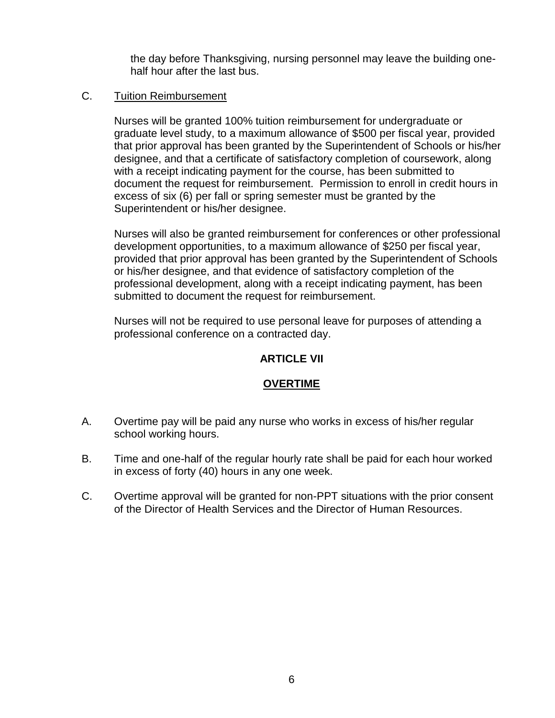the day before Thanksgiving, nursing personnel may leave the building onehalf hour after the last bus.

# C. Tuition Reimbursement

Nurses will be granted 100% tuition reimbursement for undergraduate or graduate level study, to a maximum allowance of \$500 per fiscal year, provided that prior approval has been granted by the Superintendent of Schools or his/her designee, and that a certificate of satisfactory completion of coursework, along with a receipt indicating payment for the course, has been submitted to document the request for reimbursement. Permission to enroll in credit hours in excess of six (6) per fall or spring semester must be granted by the Superintendent or his/her designee.

Nurses will also be granted reimbursement for conferences or other professional development opportunities, to a maximum allowance of \$250 per fiscal year, provided that prior approval has been granted by the Superintendent of Schools or his/her designee, and that evidence of satisfactory completion of the professional development, along with a receipt indicating payment, has been submitted to document the request for reimbursement.

Nurses will not be required to use personal leave for purposes of attending a professional conference on a contracted day.

## **ARTICLE VII**

## **OVERTIME**

- A. Overtime pay will be paid any nurse who works in excess of his/her regular school working hours.
- B. Time and one-half of the regular hourly rate shall be paid for each hour worked in excess of forty (40) hours in any one week.
- C. Overtime approval will be granted for non-PPT situations with the prior consent of the Director of Health Services and the Director of Human Resources.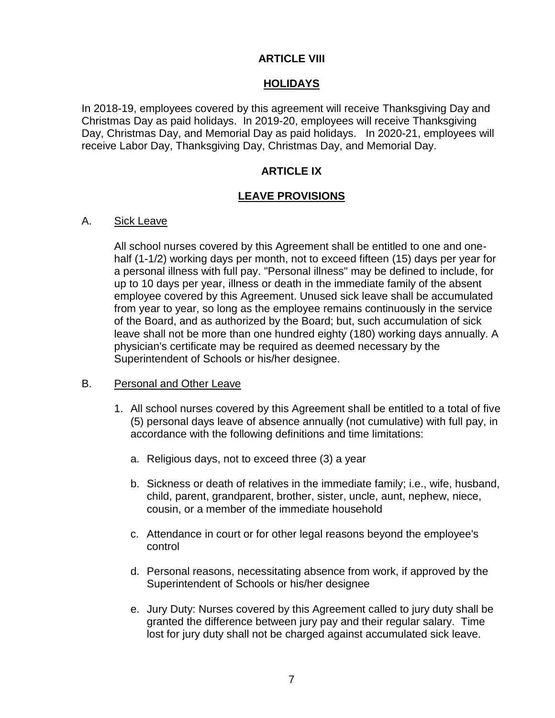# **ARTICLE VIII**

# **HOLIDAYS**

In 2018-19, employees covered by this agreement will receive Thanksgiving Day and Christmas Day as paid holidays. In 2019-20, employees will receive Thanksgiving Day, Christmas Day, and Memorial Day as paid holidays. In 2020-21, employees will receive Labor Day, Thanksgiving Day, Christmas Day, and Memorial Day.

# **ARTICLE IX**

## **LEAVE PROVISIONS**

#### A. Sick Leave

All school nurses covered by this Agreement shall be entitled to one and onehalf (1-1/2) working days per month, not to exceed fifteen (15) days per year for a personal illness with full pay. "Personal illness" may be defined to include, for up to 10 days per year, illness or death in the immediate family of the absent employee covered by this Agreement. Unused sick leave shall be accumulated from year to year, so long as the employee remains continuously in the service of the Board, and as authorized by the Board; but, such accumulation of sick leave shall not be more than one hundred eighty (180) working days annually. A physician's certificate may be required as deemed necessary by the Superintendent of Schools or his/her designee.

## B. Personal and Other Leave

- 1. All school nurses covered by this Agreement shall be entitled to a total of five (5) personal days leave of absence annually (not cumulative) with full pay, in accordance with the following definitions and time limitations:
	- a. Religious days, not to exceed three (3) a year
	- b. Sickness or death of relatives in the immediate family; i.e., wife, husband, child, parent, grandparent, brother, sister, uncle, aunt, nephew, niece, cousin, or a member of the immediate household
	- c. Attendance in court or for other legal reasons beyond the employee's control
	- d. Personal reasons, necessitating absence from work, if approved by the Superintendent of Schools or his/her designee
	- e. Jury Duty: Nurses covered by this Agreement called to jury duty shall be granted the difference between jury pay and their regular salary. Time lost for jury duty shall not be charged against accumulated sick leave.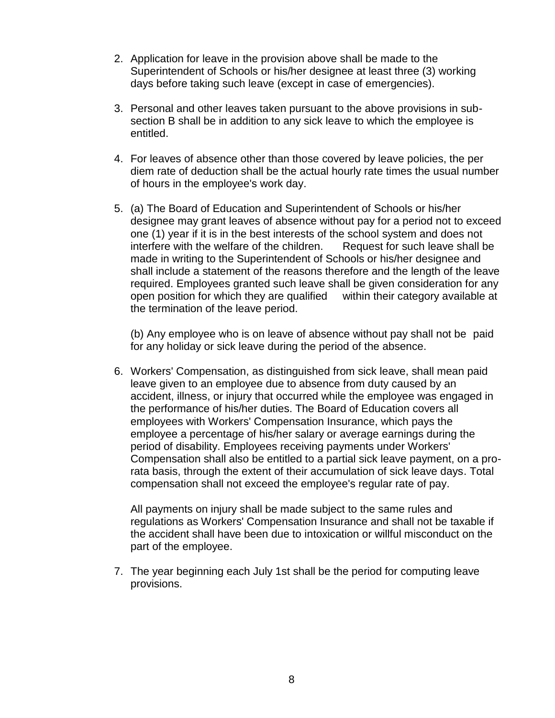- 2. Application for leave in the provision above shall be made to the Superintendent of Schools or his/her designee at least three (3) working days before taking such leave (except in case of emergencies).
- 3. Personal and other leaves taken pursuant to the above provisions in subsection B shall be in addition to any sick leave to which the employee is entitled.
- 4. For leaves of absence other than those covered by leave policies, the per diem rate of deduction shall be the actual hourly rate times the usual number of hours in the employee's work day.
- 5. (a) The Board of Education and Superintendent of Schools or his/her designee may grant leaves of absence without pay for a period not to exceed one (1) year if it is in the best interests of the school system and does not interfere with the welfare of the children. Request for such leave shall be made in writing to the Superintendent of Schools or his/her designee and shall include a statement of the reasons therefore and the length of the leave required. Employees granted such leave shall be given consideration for any open position for which they are qualified within their category available at the termination of the leave period.

(b) Any employee who is on leave of absence without pay shall not be paid for any holiday or sick leave during the period of the absence.

6. Workers' Compensation, as distinguished from sick leave, shall mean paid leave given to an employee due to absence from duty caused by an accident, illness, or injury that occurred while the employee was engaged in the performance of his/her duties. The Board of Education covers all employees with Workers' Compensation Insurance, which pays the employee a percentage of his/her salary or average earnings during the period of disability. Employees receiving payments under Workers' Compensation shall also be entitled to a partial sick leave payment, on a prorata basis, through the extent of their accumulation of sick leave days. Total compensation shall not exceed the employee's regular rate of pay.

All payments on injury shall be made subject to the same rules and regulations as Workers' Compensation Insurance and shall not be taxable if the accident shall have been due to intoxication or willful misconduct on the part of the employee.

7. The year beginning each July 1st shall be the period for computing leave provisions.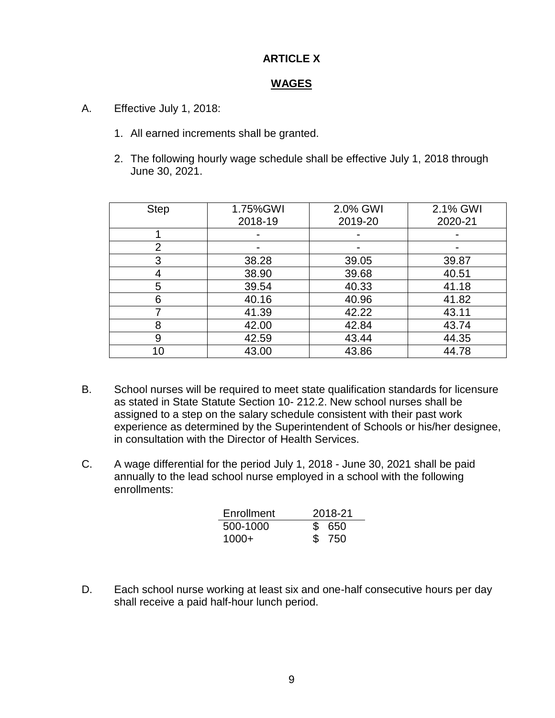# **ARTICLE X**

## **WAGES**

- A. Effective July 1, 2018:
	- 1. All earned increments shall be granted.
	- 2. The following hourly wage schedule shall be effective July 1, 2018 through June 30, 2021.

| <b>Step</b>    | 1.75%GWI | 2.0% GWI | 2.1% GWI |
|----------------|----------|----------|----------|
|                | 2018-19  | 2019-20  | 2020-21  |
|                |          |          |          |
| $\overline{2}$ |          |          |          |
| 3              | 38.28    | 39.05    | 39.87    |
|                | 38.90    | 39.68    | 40.51    |
| 5              | 39.54    | 40.33    | 41.18    |
| 6              | 40.16    | 40.96    | 41.82    |
|                | 41.39    | 42.22    | 43.11    |
| 8              | 42.00    | 42.84    | 43.74    |
| 9              | 42.59    | 43.44    | 44.35    |
| 10             | 43.00    | 43.86    | 44.78    |

- B. School nurses will be required to meet state qualification standards for licensure as stated in State Statute Section 10- 212.2. New school nurses shall be assigned to a step on the salary schedule consistent with their past work experience as determined by the Superintendent of Schools or his/her designee, in consultation with the Director of Health Services.
- C. A wage differential for the period July 1, 2018 June 30, 2021 shall be paid annually to the lead school nurse employed in a school with the following enrollments:

| Enrollment | 2018-21 |  |
|------------|---------|--|
| 500-1000   | \$650   |  |
| $1000+$    | \$ 750  |  |

D. Each school nurse working at least six and one-half consecutive hours per day shall receive a paid half-hour lunch period.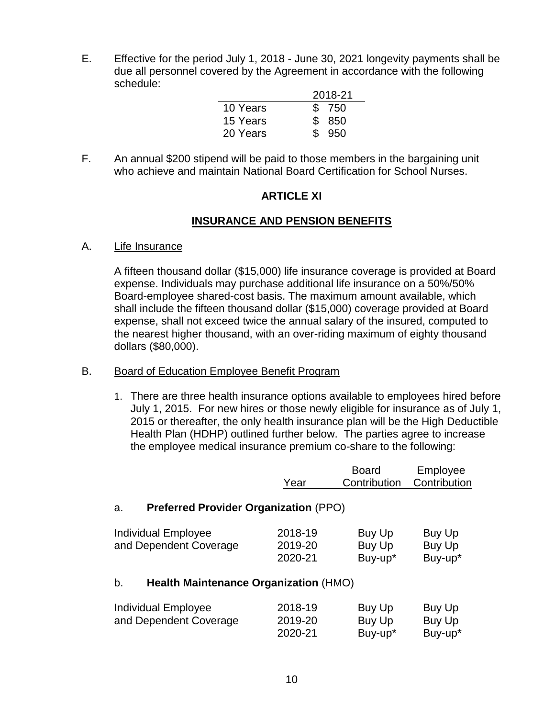E. Effective for the period July 1, 2018 - June 30, 2021 longevity payments shall be due all personnel covered by the Agreement in accordance with the following schedule:

|          | 2018-21 |
|----------|---------|
| 10 Years | \$750   |
| 15 Years | \$ 850  |
| 20 Years | \$950   |

F. An annual \$200 stipend will be paid to those members in the bargaining unit who achieve and maintain National Board Certification for School Nurses.

# **ARTICLE XI**

# **INSURANCE AND PENSION BENEFITS**

#### A. Life Insurance

A fifteen thousand dollar (\$15,000) life insurance coverage is provided at Board expense. Individuals may purchase additional life insurance on a 50%/50% Board-employee shared-cost basis. The maximum amount available, which shall include the fifteen thousand dollar (\$15,000) coverage provided at Board expense, shall not exceed twice the annual salary of the insured, computed to the nearest higher thousand, with an over-riding maximum of eighty thousand dollars (\$80,000).

## B. Board of Education Employee Benefit Program

1. There are three health insurance options available to employees hired before July 1, 2015. For new hires or those newly eligible for insurance as of July 1, 2015 or thereafter, the only health insurance plan will be the High Deductible Health Plan (HDHP) outlined further below. The parties agree to increase the employee medical insurance premium co-share to the following:

|                                                    | Year                          | <b>Board</b><br>Contribution | Employee<br>Contribution    |
|----------------------------------------------------|-------------------------------|------------------------------|-----------------------------|
| <b>Preferred Provider Organization (PPO)</b><br>a. |                               |                              |                             |
| Individual Employee<br>and Dependent Coverage      | 2018-19<br>2019-20<br>2020-21 | Buy Up<br>Buy Up<br>Buy-up*  | Buy Up<br>Buy Up<br>Buy-up* |
| <b>Health Maintenance Organization (HMO)</b><br>b. |                               |                              |                             |
| Individual Employee<br>and Dependent Coverage      | 2018-19<br>2019-20<br>2020-21 | Buy Up<br>Buy Up<br>Buy-up*  | Buy Up<br>Buy Up<br>Buy-up* |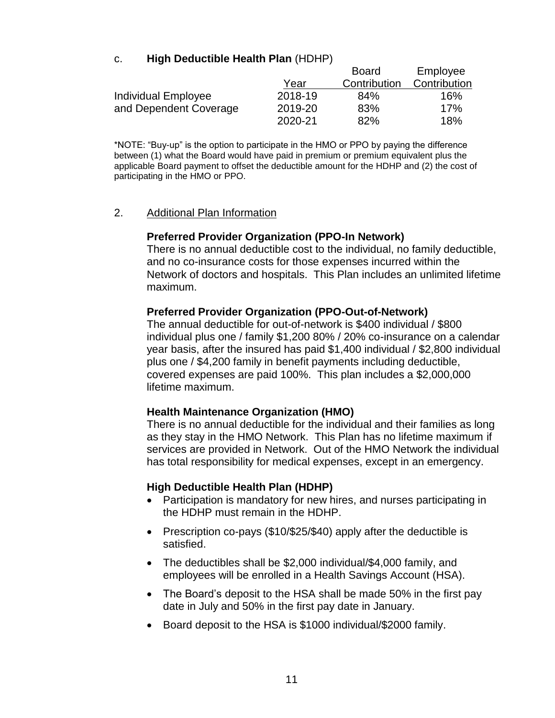# c. **High Deductible Health Plan** (HDHP)

|                        |         | <b>Board</b> | Employee     |
|------------------------|---------|--------------|--------------|
|                        | Year    | Contribution | Contribution |
| Individual Employee    | 2018-19 | 84%          | 16%          |
| and Dependent Coverage | 2019-20 | 83%          | 17%          |
|                        | 2020-21 | 82%          | 18%          |

\*NOTE: "Buy-up" is the option to participate in the HMO or PPO by paying the difference between (1) what the Board would have paid in premium or premium equivalent plus the applicable Board payment to offset the deductible amount for the HDHP and (2) the cost of participating in the HMO or PPO.

#### 2. Additional Plan Information

#### **Preferred Provider Organization (PPO-In Network)**

There is no annual deductible cost to the individual, no family deductible, and no co-insurance costs for those expenses incurred within the Network of doctors and hospitals. This Plan includes an unlimited lifetime maximum.

## **Preferred Provider Organization (PPO-Out-of-Network)**

The annual deductible for out-of-network is \$400 individual / \$800 individual plus one / family \$1,200 80% / 20% co-insurance on a calendar year basis, after the insured has paid \$1,400 individual / \$2,800 individual plus one / \$4,200 family in benefit payments including deductible, covered expenses are paid 100%. This plan includes a \$2,000,000 lifetime maximum.

#### **Health Maintenance Organization (HMO)**

There is no annual deductible for the individual and their families as long as they stay in the HMO Network. This Plan has no lifetime maximum if services are provided in Network. Out of the HMO Network the individual has total responsibility for medical expenses, except in an emergency.

#### **High Deductible Health Plan (HDHP)**

- Participation is mandatory for new hires, and nurses participating in the HDHP must remain in the HDHP.
- Prescription co-pays (\$10/\$25/\$40) apply after the deductible is satisfied.
- The deductibles shall be \$2,000 individual/\$4,000 family, and employees will be enrolled in a Health Savings Account (HSA).
- The Board's deposit to the HSA shall be made 50% in the first pay date in July and 50% in the first pay date in January.
- Board deposit to the HSA is \$1000 individual/\$2000 family.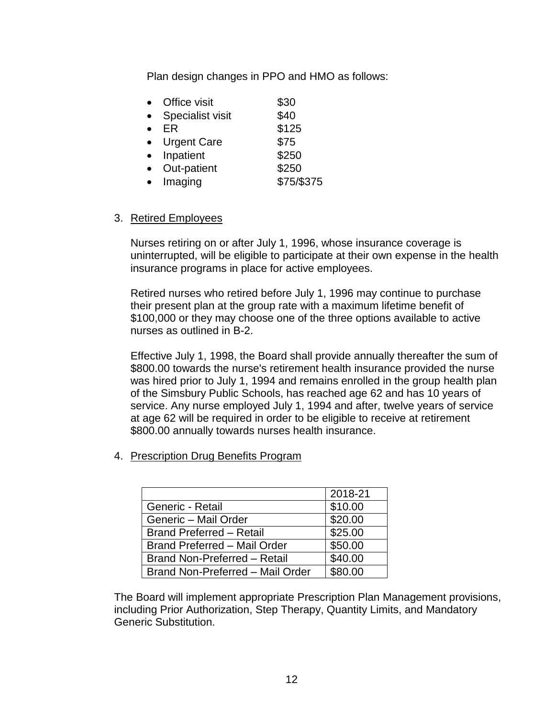Plan design changes in PPO and HMO as follows:

| Office visit            | \$30       |
|-------------------------|------------|
| <b>Specialist visit</b> | \$40       |
| ER                      | \$125      |
| <b>Urgent Care</b>      | \$75       |
| Inpatient               | \$250      |
| Out-patient             | \$250      |
| Imaging                 | \$75/\$375 |
|                         |            |

#### 3. Retired Employees

Nurses retiring on or after July 1, 1996, whose insurance coverage is uninterrupted, will be eligible to participate at their own expense in the health insurance programs in place for active employees.

Retired nurses who retired before July 1, 1996 may continue to purchase their present plan at the group rate with a maximum lifetime benefit of \$100,000 or they may choose one of the three options available to active nurses as outlined in B-2.

Effective July 1, 1998, the Board shall provide annually thereafter the sum of \$800.00 towards the nurse's retirement health insurance provided the nurse was hired prior to July 1, 1994 and remains enrolled in the group health plan of the Simsbury Public Schools, has reached age 62 and has 10 years of service. Any nurse employed July 1, 1994 and after, twelve years of service at age 62 will be required in order to be eligible to receive at retirement \$800.00 annually towards nurses health insurance.

4. Prescription Drug Benefits Program

|                                     | 2018-21             |
|-------------------------------------|---------------------|
| Generic - Retail                    | \$10.00             |
| Generic - Mail Order                | \$20.00             |
| <b>Brand Preferred - Retail</b>     | \$25.00             |
| <b>Brand Preferred - Mail Order</b> | \$50.00             |
| Brand Non-Preferred - Retail        | \$40.00             |
| Brand Non-Preferred - Mail Order    | $\overline{$80.00}$ |

The Board will implement appropriate Prescription Plan Management provisions, including Prior Authorization, Step Therapy, Quantity Limits, and Mandatory Generic Substitution.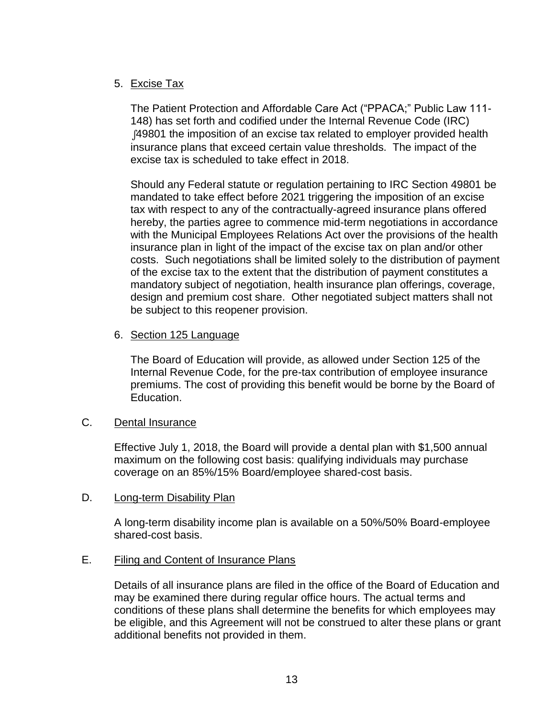# 5. Excise Tax

The Patient Protection and Affordable Care Act ("PPACA;" Public Law 111- 148) has set forth and codified under the Internal Revenue Code (IRC) ∫49801 the imposition of an excise tax related to employer provided health insurance plans that exceed certain value thresholds. The impact of the excise tax is scheduled to take effect in 2018.

Should any Federal statute or regulation pertaining to IRC Section 49801 be mandated to take effect before 2021 triggering the imposition of an excise tax with respect to any of the contractually-agreed insurance plans offered hereby, the parties agree to commence mid-term negotiations in accordance with the Municipal Employees Relations Act over the provisions of the health insurance plan in light of the impact of the excise tax on plan and/or other costs. Such negotiations shall be limited solely to the distribution of payment of the excise tax to the extent that the distribution of payment constitutes a mandatory subject of negotiation, health insurance plan offerings, coverage, design and premium cost share. Other negotiated subject matters shall not be subject to this reopener provision.

## 6. Section 125 Language

The Board of Education will provide, as allowed under Section 125 of the Internal Revenue Code, for the pre-tax contribution of employee insurance premiums. The cost of providing this benefit would be borne by the Board of Education.

# C. Dental Insurance

Effective July 1, 2018, the Board will provide a dental plan with \$1,500 annual maximum on the following cost basis: qualifying individuals may purchase coverage on an 85%/15% Board/employee shared-cost basis.

## D. Long-term Disability Plan

A long-term disability income plan is available on a 50%/50% Board-employee shared-cost basis.

## E. Filing and Content of Insurance Plans

Details of all insurance plans are filed in the office of the Board of Education and may be examined there during regular office hours. The actual terms and conditions of these plans shall determine the benefits for which employees may be eligible, and this Agreement will not be construed to alter these plans or grant additional benefits not provided in them.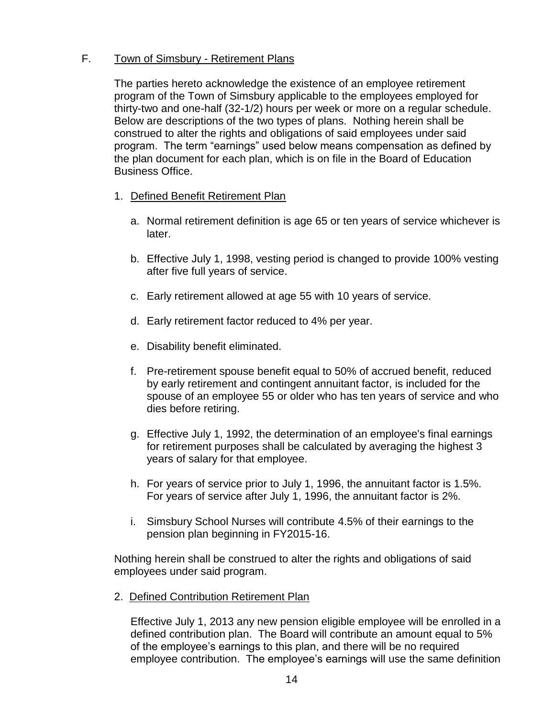# F. Town of Simsbury - Retirement Plans

The parties hereto acknowledge the existence of an employee retirement program of the Town of Simsbury applicable to the employees employed for thirty-two and one-half (32-1/2) hours per week or more on a regular schedule. Below are descriptions of the two types of plans. Nothing herein shall be construed to alter the rights and obligations of said employees under said program. The term "earnings" used below means compensation as defined by the plan document for each plan, which is on file in the Board of Education Business Office.

- 1. Defined Benefit Retirement Plan
	- a. Normal retirement definition is age 65 or ten years of service whichever is later.
	- b. Effective July 1, 1998, vesting period is changed to provide 100% vesting after five full years of service.
	- c. Early retirement allowed at age 55 with 10 years of service.
	- d. Early retirement factor reduced to 4% per year.
	- e. Disability benefit eliminated.
	- f. Pre-retirement spouse benefit equal to 50% of accrued benefit, reduced by early retirement and contingent annuitant factor, is included for the spouse of an employee 55 or older who has ten years of service and who dies before retiring.
	- g. Effective July 1, 1992, the determination of an employee's final earnings for retirement purposes shall be calculated by averaging the highest 3 years of salary for that employee.
	- h. For years of service prior to July 1, 1996, the annuitant factor is 1.5%. For years of service after July 1, 1996, the annuitant factor is 2%.
	- i. Simsbury School Nurses will contribute 4.5% of their earnings to the pension plan beginning in FY2015-16.

Nothing herein shall be construed to alter the rights and obligations of said employees under said program.

2. Defined Contribution Retirement Plan

Effective July 1, 2013 any new pension eligible employee will be enrolled in a defined contribution plan. The Board will contribute an amount equal to 5% of the employee's earnings to this plan, and there will be no required employee contribution. The employee's earnings will use the same definition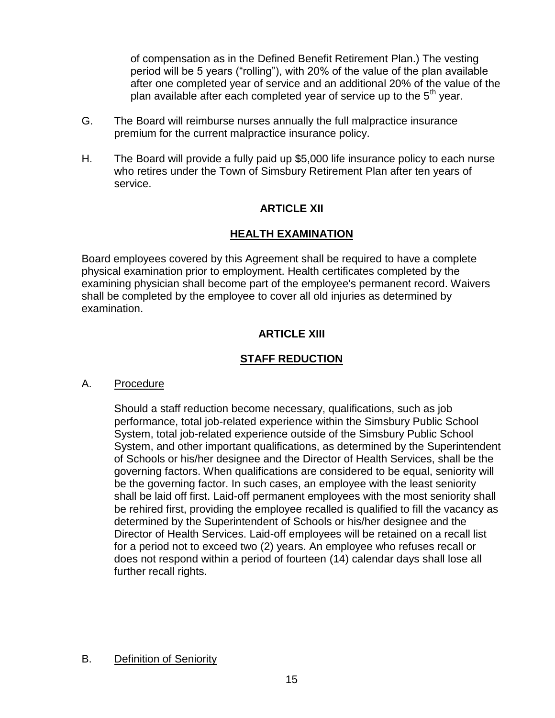of compensation as in the Defined Benefit Retirement Plan.) The vesting period will be 5 years ("rolling"), with 20% of the value of the plan available after one completed year of service and an additional 20% of the value of the plan available after each completed year of service up to the  $5<sup>th</sup>$  year.

- G. The Board will reimburse nurses annually the full malpractice insurance premium for the current malpractice insurance policy.
- H. The Board will provide a fully paid up \$5,000 life insurance policy to each nurse who retires under the Town of Simsbury Retirement Plan after ten years of service.

# **ARTICLE XII**

# **HEALTH EXAMINATION**

Board employees covered by this Agreement shall be required to have a complete physical examination prior to employment. Health certificates completed by the examining physician shall become part of the employee's permanent record. Waivers shall be completed by the employee to cover all old injuries as determined by examination.

# **ARTICLE XIII**

# **STAFF REDUCTION**

## A. Procedure

Should a staff reduction become necessary, qualifications, such as job performance, total job-related experience within the Simsbury Public School System, total job-related experience outside of the Simsbury Public School System, and other important qualifications, as determined by the Superintendent of Schools or his/her designee and the Director of Health Services, shall be the governing factors. When qualifications are considered to be equal, seniority will be the governing factor. In such cases, an employee with the least seniority shall be laid off first. Laid-off permanent employees with the most seniority shall be rehired first, providing the employee recalled is qualified to fill the vacancy as determined by the Superintendent of Schools or his/her designee and the Director of Health Services. Laid-off employees will be retained on a recall list for a period not to exceed two (2) years. An employee who refuses recall or does not respond within a period of fourteen (14) calendar days shall lose all further recall rights.

## B. Definition of Seniority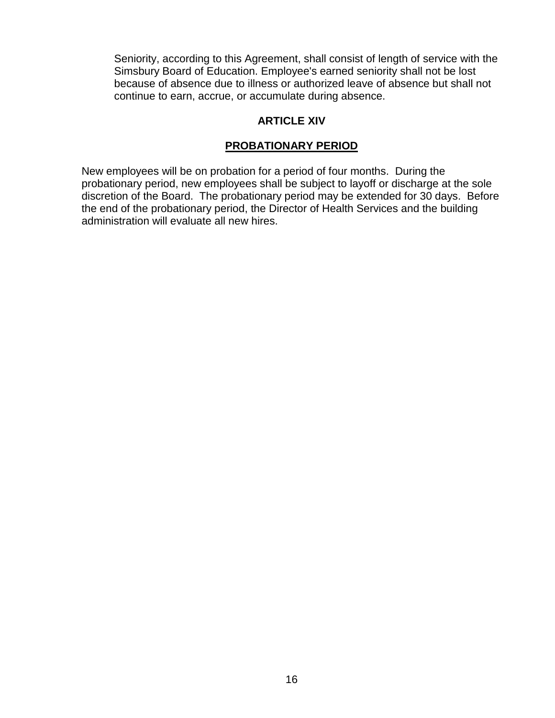Seniority, according to this Agreement, shall consist of length of service with the Simsbury Board of Education. Employee's earned seniority shall not be lost because of absence due to illness or authorized leave of absence but shall not continue to earn, accrue, or accumulate during absence.

# **ARTICLE XIV**

# **PROBATIONARY PERIOD**

New employees will be on probation for a period of four months. During the probationary period, new employees shall be subject to layoff or discharge at the sole discretion of the Board. The probationary period may be extended for 30 days. Before the end of the probationary period, the Director of Health Services and the building administration will evaluate all new hires.